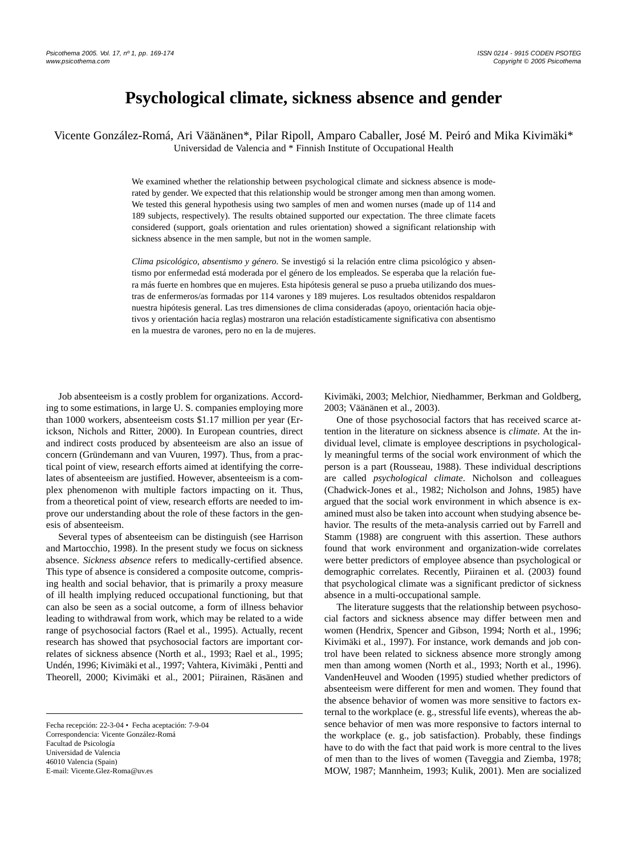# **Psychological climate, sickness absence and gender**

Vicente González-Romá, Ari Väänänen\*, Pilar Ripoll, Amparo Caballer, José M. Peiró and Mika Kivimäki\* Universidad de Valencia and \* Finnish Institute of Occupational Health

> We examined whether the relationship between psychological climate and sickness absence is moderated by gender. We expected that this relationship would be stronger among men than among women. We tested this general hypothesis using two samples of men and women nurses (made up of 114 and 189 subjects, respectively). The results obtained supported our expectation. The three climate facets considered (support, goals orientation and rules orientation) showed a significant relationship with sickness absence in the men sample, but not in the women sample.

> *Clima psicológico, absentismo y género.* Se investigó si la relación entre clima psicológico y absentismo por enfermedad está moderada por el género de los empleados. Se esperaba que la relación fuera más fuerte en hombres que en mujeres. Esta hipótesis general se puso a prueba utilizando dos muestras de enfermeros/as formadas por 114 varones y 189 mujeres. Los resultados obtenidos respaldaron nuestra hipótesis general. Las tres dimensiones de clima consideradas (apoyo, orientación hacia objetivos y orientación hacia reglas) mostraron una relación estadísticamente significativa con absentismo en la muestra de varones, pero no en la de mujeres.

Job absenteeism is a costly problem for organizations. According to some estimations, in large U. S. companies employing more than 1000 workers, absenteeism costs \$1.17 million per year (Erickson, Nichols and Ritter, 2000). In European countries, direct and indirect costs produced by absenteeism are also an issue of concern (Gründemann and van Vuuren, 1997). Thus, from a practical point of view, research efforts aimed at identifying the correlates of absenteeism are justified. However, absenteeism is a complex phenomenon with multiple factors impacting on it. Thus, from a theoretical point of view, research efforts are needed to improve our understanding about the role of these factors in the genesis of absenteeism.

Several types of absenteeism can be distinguish (see Harrison and Martocchio, 1998). In the present study we focus on sickness absence. *Sickness absence* refers to medically-certified absence. This type of absence is considered a composite outcome, comprising health and social behavior, that is primarily a proxy measure of ill health implying reduced occupational functioning, but that can also be seen as a social outcome, a form of illness behavior leading to withdrawal from work, which may be related to a wide range of psychosocial factors (Rael et al., 1995). Actually, recent research has showed that psychosocial factors are important correlates of sickness absence (North et al., 1993; Rael et al., 1995; Undén, 1996; Kivimäki et al., 1997; Vahtera, Kivimäki , Pentti and Theorell, 2000; Kivimäki et al., 2001; Piirainen, Räsänen and

Kivimäki, 2003; Melchior, Niedhammer, Berkman and Goldberg, 2003; Väänänen et al., 2003).

One of those psychosocial factors that has received scarce attention in the literature on sickness absence is *climate*. At the individual level, climate is employee descriptions in psychologically meaningful terms of the social work environment of which the person is a part (Rousseau, 1988). These individual descriptions are called *psychological climate*. Nicholson and colleagues (Chadwick-Jones et al., 1982; Nicholson and Johns, 1985) have argued that the social work environment in which absence is examined must also be taken into account when studying absence behavior. The results of the meta-analysis carried out by Farrell and Stamm (1988) are congruent with this assertion. These authors found that work environment and organization-wide correlates were better predictors of employee absence than psychological or demographic correlates. Recently, Piirainen et al. (2003) found that psychological climate was a significant predictor of sickness absence in a multi-occupational sample.

The literature suggests that the relationship between psychosocial factors and sickness absence may differ between men and women (Hendrix, Spencer and Gibson, 1994; North et al., 1996; Kivimäki et al., 1997). For instance, work demands and job control have been related to sickness absence more strongly among men than among women (North et al., 1993; North et al., 1996). VandenHeuvel and Wooden (1995) studied whether predictors of absenteeism were different for men and women. They found that the absence behavior of women was more sensitive to factors external to the workplace (e. g., stressful life events), whereas the absence behavior of men was more responsive to factors internal to the workplace (e. g., job satisfaction). Probably, these findings have to do with the fact that paid work is more central to the lives of men than to the lives of women (Taveggia and Ziemba, 1978; MOW, 1987; Mannheim, 1993; Kulik, 2001). Men are socialized

Fecha recepción: 22-3-04 • Fecha aceptación: 7-9-04 Correspondencia: Vicente González-Romá Facultad de Psicología Universidad de Valencia 46010 Valencia (Spain) E-mail: Vicente.Glez-Roma@uv.es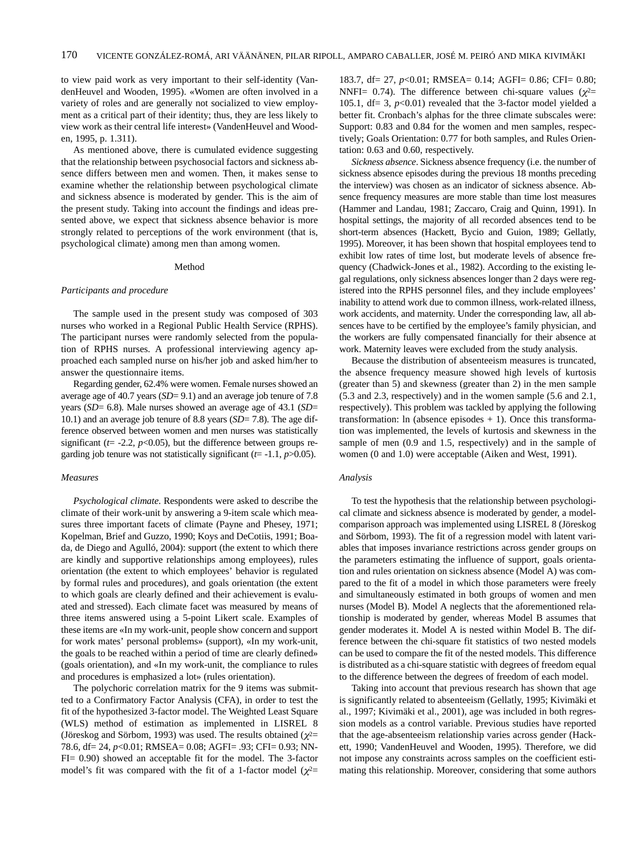to view paid work as very important to their self-identity (VandenHeuvel and Wooden, 1995). «Women are often involved in a variety of roles and are generally not socialized to view employment as a critical part of their identity; thus, they are less likely to view work as their central life interest» (VandenHeuvel and Wooden, 1995, p. 1.311).

As mentioned above, there is cumulated evidence suggesting that the relationship between psychosocial factors and sickness absence differs between men and women. Then, it makes sense to examine whether the relationship between psychological climate and sickness absence is moderated by gender. This is the aim of the present study. Taking into account the findings and ideas presented above, we expect that sickness absence behavior is more strongly related to perceptions of the work environment (that is, psychological climate) among men than among women.

## Method

## *Participants and procedure*

The sample used in the present study was composed of 303 nurses who worked in a Regional Public Health Service (RPHS). The participant nurses were randomly selected from the population of RPHS nurses. A professional interviewing agency approached each sampled nurse on his/her job and asked him/her to answer the questionnaire items.

Regarding gender, 62.4% were women. Female nurses showed an average age of 40.7 years (*SD*= 9.1) and an average job tenure of 7.8 years (*SD*= 6.8). Male nurses showed an average age of 43.1 (*SD*= 10.1) and an average job tenure of 8.8 years (*SD*= 7.8). The age difference observed between women and men nurses was statistically significant ( $t = -2.2$ ,  $p < 0.05$ ), but the difference between groups regarding job tenure was not statistically significant  $(t= -1.1, p>0.05)$ .

## *Measures*

*Psychological climate*. Respondents were asked to describe the climate of their work-unit by answering a 9-item scale which measures three important facets of climate (Payne and Phesey, 1971; Kopelman, Brief and Guzzo, 1990; Koys and DeCotiis, 1991; Boada, de Diego and Agulló, 2004): support (the extent to which there are kindly and supportive relationships among employees), rules orientation (the extent to which employees' behavior is regulated by formal rules and procedures), and goals orientation (the extent to which goals are clearly defined and their achievement is evaluated and stressed). Each climate facet was measured by means of three items answered using a 5-point Likert scale. Examples of these items are «In my work-unit, people show concern and support for work mates' personal problems» (support), «In my work-unit, the goals to be reached within a period of time are clearly defined» (goals orientation), and «In my work-unit, the compliance to rules and procedures is emphasized a lot» (rules orientation).

The polychoric correlation matrix for the 9 items was submitted to a Confirmatory Factor Analysis (CFA), in order to test the fit of the hypothesized 3-factor model. The Weighted Least Square (WLS) method of estimation as implemented in LISREL 8 (Jöreskog and Sörbom, 1993) was used. The results obtained ( $\chi^2$ = 78.6, df= 24, *p*<0.01; RMSEA= 0.08; AGFI= .93; CFI= 0.93; NN-FI= 0.90) showed an acceptable fit for the model. The 3-factor model's fit was compared with the fit of a 1-factor model ( $\chi^2$ =

183.7, df= 27, *p*<0.01; RMSEA= 0.14; AGFI= 0.86; CFI= 0.80; NNFI= 0.74). The difference between chi-square values ( $\chi^2$ = 105.1, df = 3,  $p$ <0.01) revealed that the 3-factor model yielded a better fit. Cronbach's alphas for the three climate subscales were: Support: 0.83 and 0.84 for the women and men samples, respectively; Goals Orientation: 0.77 for both samples, and Rules Orientation: 0.63 and 0.60, respectively.

*Sickness absence*. Sickness absence frequency (i.e. the number of sickness absence episodes during the previous 18 months preceding the interview) was chosen as an indicator of sickness absence. Absence frequency measures are more stable than time lost measures (Hammer and Landau, 1981; Zaccaro, Craig and Quinn, 1991). In hospital settings, the majority of all recorded absences tend to be short-term absences (Hackett, Bycio and Guion, 1989; Gellatly, 1995). Moreover, it has been shown that hospital employees tend to exhibit low rates of time lost, but moderate levels of absence frequency (Chadwick-Jones et al., 1982). According to the existing legal regulations, only sickness absences longer than 2 days were registered into the RPHS personnel files, and they include employees' inability to attend work due to common illness, work-related illness, work accidents, and maternity. Under the corresponding law, all absences have to be certified by the employee's family physician, and the workers are fully compensated financially for their absence at work. Maternity leaves were excluded from the study analysis.

Because the distribution of absenteeism measures is truncated, the absence frequency measure showed high levels of kurtosis (greater than 5) and skewness (greater than 2) in the men sample (5.3 and 2.3, respectively) and in the women sample (5.6 and 2.1, respectively). This problem was tackled by applying the following transformation: ln (absence episodes  $+ 1$ ). Once this transformation was implemented, the levels of kurtosis and skewness in the sample of men  $(0.9 \text{ and } 1.5, \text{ respectively})$  and in the sample of women (0 and 1.0) were acceptable (Aiken and West, 1991).

#### *Analysis*

To test the hypothesis that the relationship between psychological climate and sickness absence is moderated by gender, a modelcomparison approach was implemented using LISREL 8 (Jöreskog and Sörbom, 1993). The fit of a regression model with latent variables that imposes invariance restrictions across gender groups on the parameters estimating the influence of support, goals orientation and rules orientation on sickness absence (Model A) was compared to the fit of a model in which those parameters were freely and simultaneously estimated in both groups of women and men nurses (Model B). Model A neglects that the aforementioned relationship is moderated by gender, whereas Model B assumes that gender moderates it. Model A is nested within Model B. The difference between the chi-square fit statistics of two nested models can be used to compare the fit of the nested models. This difference is distributed as a chi-square statistic with degrees of freedom equal to the difference between the degrees of freedom of each model.

Taking into account that previous research has shown that age is significantly related to absenteeism (Gellatly, 1995; Kivimäki et al., 1997; Kivimäki et al., 2001), age was included in both regression models as a control variable. Previous studies have reported that the age-absenteeism relationship varies across gender (Hackett, 1990; VandenHeuvel and Wooden, 1995). Therefore, we did not impose any constraints across samples on the coefficient estimating this relationship. Moreover, considering that some authors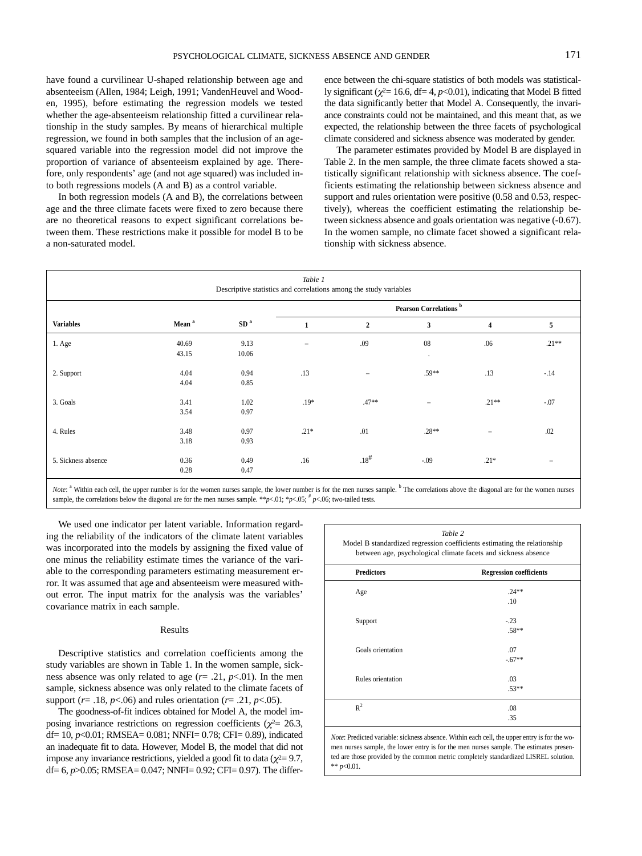have found a curvilinear U-shaped relationship between age and absenteeism (Allen, 1984; Leigh, 1991; VandenHeuvel and Wooden, 1995), before estimating the regression models we tested whether the age-absenteeism relationship fitted a curvilinear relationship in the study samples. By means of hierarchical multiple regression, we found in both samples that the inclusion of an agesquared variable into the regression model did not improve the proportion of variance of absenteeism explained by age. Therefore, only respondents' age (and not age squared) was included into both regressions models (A and B) as a control variable.

In both regression models (A and B), the correlations between age and the three climate facets were fixed to zero because there are no theoretical reasons to expect significant correlations between them. These restrictions make it possible for model B to be a non-saturated model.

ence between the chi-square statistics of both models was statistically significant ( $\chi^2$ = 16.6, df = 4, *p*<0.01), indicating that Model B fitted the data significantly better that Model A. Consequently, the invariance constraints could not be maintained, and this meant that, as we expected, the relationship between the three facets of psychological climate considered and sickness absence was moderated by gender.

The parameter estimates provided by Model B are displayed in Table 2. In the men sample, the three climate facets showed a statistically significant relationship with sickness absence. The coefficients estimating the relationship between sickness absence and support and rules orientation were positive (0.58 and 0.53, respectively), whereas the coefficient estimating the relationship between sickness absence and goals orientation was negative (-0.67). In the women sample, no climate facet showed a significant relationship with sickness absence.

| Table 1<br>Descriptive statistics and correlations among the study variables |                   |                 |                                   |                   |                          |                   |         |
|------------------------------------------------------------------------------|-------------------|-----------------|-----------------------------------|-------------------|--------------------------|-------------------|---------|
| <b>Variables</b>                                                             | Mean <sup>a</sup> | SD <sup>a</sup> | Pearson Correlations <sup>b</sup> |                   |                          |                   |         |
|                                                                              |                   |                 | $\mathbf{1}$                      | $\boldsymbol{2}$  | $\mathbf{3}$             | 4                 | 5       |
| 1. Age                                                                       | 40.69<br>43.15    | 9.13<br>10.06   | $\overline{\phantom{a}}$          | .09               | 08<br>$\cdot$            | .06               | $.21**$ |
| 2. Support                                                                   | 4.04<br>4.04      | 0.94<br>0.85    | .13                               | $\qquad \qquad -$ | $.59**$                  | .13               | $-14$   |
| 3. Goals                                                                     | 3.41<br>3.54      | 1.02<br>0.97    | $.19*$                            | $.47**$           | $\overline{\phantom{0}}$ | $.21**$           | $-.07$  |
| 4. Rules                                                                     | 3.48<br>3.18      | 0.97<br>0.93    | $.21*$                            | .01               | $.28**$                  | $\qquad \qquad -$ | .02     |
| 5. Sickness absence                                                          | 0.36<br>0.28      | 0.49<br>0.47    | .16                               | $.18^{#}$         | $-.09$                   | $.21*$            |         |

*Note*: <sup>a</sup> Within each cell, the upper number is for the women nurses sample, the lower number is for the men nurses sample. <sup>b</sup> The correlations above the diagonal are for the women nurses sample, the correlations below the diagonal are for the men nurses sample. \*\* $p<01$ ; \* $p<05$ ; # $p<06$ ; two-tailed tests.

We used one indicator per latent variable. Information regarding the reliability of the indicators of the climate latent variables was incorporated into the models by assigning the fixed value of one minus the reliability estimate times the variance of the variable to the corresponding parameters estimating measurement error. It was assumed that age and absenteeism were measured without error. The input matrix for the analysis was the variables' covariance matrix in each sample.

## Results

Descriptive statistics and correlation coefficients among the study variables are shown in Table 1. In the women sample, sickness absence was only related to age  $(r = .21, p < .01)$ . In the men sample, sickness absence was only related to the climate facets of support ( $r = .18$ ,  $p < .06$ ) and rules orientation ( $r = .21$ ,  $p < .05$ ).

The goodness-of-fit indices obtained for Model A, the model imposing invariance restrictions on regression coefficients ( $\chi^2$  = 26.3, df= 10, *p*<0.01; RMSEA= 0.081; NNFI= 0.78; CFI= 0.89), indicated an inadequate fit to data. However, Model B, the model that did not impose any invariance restrictions, yielded a good fit to data ( $\chi^2$ = 9.7, df= 6, *p*>0.05; RMSEA= 0.047; NNFI= 0.92; CFI= 0.97). The differ-

| Table 2<br>Model B standardized regression coefficients estimating the relationship<br>between age, psychological climate facets and sickness absence |                                |  |  |
|-------------------------------------------------------------------------------------------------------------------------------------------------------|--------------------------------|--|--|
| <b>Predictors</b>                                                                                                                                     | <b>Regression coefficients</b> |  |  |
| Age                                                                                                                                                   | $.24**$                        |  |  |
|                                                                                                                                                       | .10                            |  |  |
| Support                                                                                                                                               | $-.23$                         |  |  |
|                                                                                                                                                       | $.58**$                        |  |  |
| Goals orientation                                                                                                                                     | .07                            |  |  |
|                                                                                                                                                       | $-67**$                        |  |  |
| Rules orientation                                                                                                                                     | .03                            |  |  |
|                                                                                                                                                       | $.53**$                        |  |  |
| $R^2$                                                                                                                                                 | .08                            |  |  |
|                                                                                                                                                       | .35                            |  |  |

*Note*: Predicted variable: sickness absence. Within each cell, the upper entry is for the women nurses sample, the lower entry is for the men nurses sample. The estimates presented are those provided by the common metric completely standardized LISREL solution. \*\* *p*<0.01.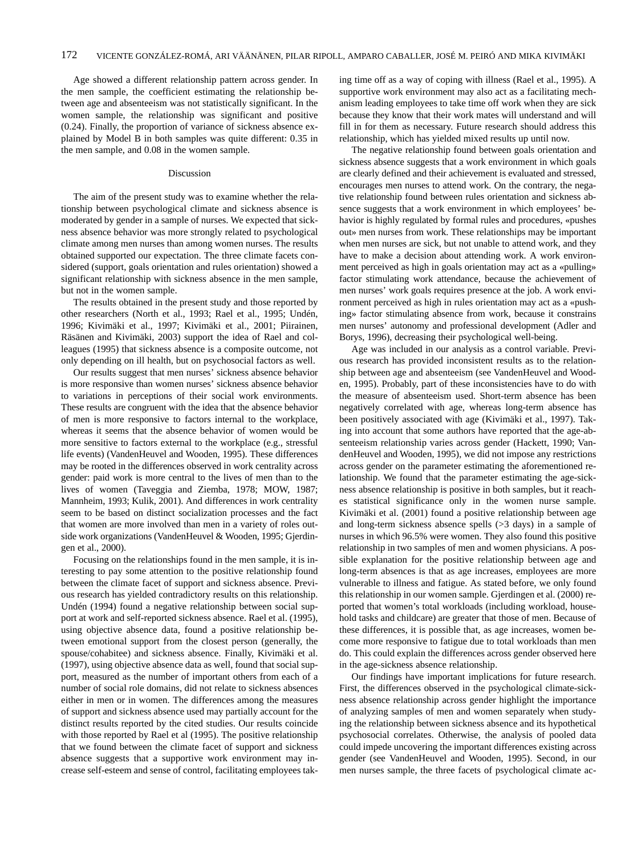Age showed a different relationship pattern across gender. In the men sample, the coefficient estimating the relationship between age and absenteeism was not statistically significant. In the women sample, the relationship was significant and positive (0.24). Finally, the proportion of variance of sickness absence explained by Model B in both samples was quite different: 0.35 in the men sample, and 0.08 in the women sample.

## Discussion

The aim of the present study was to examine whether the relationship between psychological climate and sickness absence is moderated by gender in a sample of nurses. We expected that sickness absence behavior was more strongly related to psychological climate among men nurses than among women nurses. The results obtained supported our expectation. The three climate facets considered (support, goals orientation and rules orientation) showed a significant relationship with sickness absence in the men sample, but not in the women sample.

The results obtained in the present study and those reported by other researchers (North et al., 1993; Rael et al., 1995; Undén, 1996; Kivimäki et al., 1997; Kivimäki et al., 2001; Piirainen, Räsänen and Kivimäki, 2003) support the idea of Rael and colleagues (1995) that sickness absence is a composite outcome, not only depending on ill health, but on psychosocial factors as well.

Our results suggest that men nurses' sickness absence behavior is more responsive than women nurses' sickness absence behavior to variations in perceptions of their social work environments. These results are congruent with the idea that the absence behavior of men is more responsive to factors internal to the workplace, whereas it seems that the absence behavior of women would be more sensitive to factors external to the workplace (e.g., stressful life events) (VandenHeuvel and Wooden, 1995). These differences may be rooted in the differences observed in work centrality across gender: paid work is more central to the lives of men than to the lives of women (Taveggia and Ziemba, 1978; MOW, 1987; Mannheim, 1993; Kulik, 2001). And differences in work centrality seem to be based on distinct socialization processes and the fact that women are more involved than men in a variety of roles outside work organizations (VandenHeuvel & Wooden, 1995; Gjerdingen et al., 2000).

Focusing on the relationships found in the men sample, it is interesting to pay some attention to the positive relationship found between the climate facet of support and sickness absence. Previous research has yielded contradictory results on this relationship. Undén (1994) found a negative relationship between social support at work and self-reported sickness absence. Rael et al. (1995), using objective absence data, found a positive relationship between emotional support from the closest person (generally, the spouse/cohabitee) and sickness absence. Finally, Kivimäki et al. (1997), using objective absence data as well, found that social support, measured as the number of important others from each of a number of social role domains, did not relate to sickness absences either in men or in women. The differences among the measures of support and sickness absence used may partially account for the distinct results reported by the cited studies. Our results coincide with those reported by Rael et al (1995). The positive relationship that we found between the climate facet of support and sickness absence suggests that a supportive work environment may increase self-esteem and sense of control, facilitating employees taking time off as a way of coping with illness (Rael et al., 1995). A supportive work environment may also act as a facilitating mechanism leading employees to take time off work when they are sick because they know that their work mates will understand and will fill in for them as necessary. Future research should address this relationship, which has yielded mixed results up until now.

The negative relationship found between goals orientation and sickness absence suggests that a work environment in which goals are clearly defined and their achievement is evaluated and stressed, encourages men nurses to attend work. On the contrary, the negative relationship found between rules orientation and sickness absence suggests that a work environment in which employees' behavior is highly regulated by formal rules and procedures, «pushes out» men nurses from work. These relationships may be important when men nurses are sick, but not unable to attend work, and they have to make a decision about attending work. A work environment perceived as high in goals orientation may act as a «pulling» factor stimulating work attendance, because the achievement of men nurses' work goals requires presence at the job. A work environment perceived as high in rules orientation may act as a «pushing» factor stimulating absence from work, because it constrains men nurses' autonomy and professional development (Adler and Borys, 1996), decreasing their psychological well-being.

Age was included in our analysis as a control variable. Previous research has provided inconsistent results as to the relationship between age and absenteeism (see VandenHeuvel and Wooden, 1995). Probably, part of these inconsistencies have to do with the measure of absenteeism used. Short-term absence has been negatively correlated with age, whereas long-term absence has been positively associated with age (Kivimäki et al., 1997). Taking into account that some authors have reported that the age-absenteeism relationship varies across gender (Hackett, 1990; VandenHeuvel and Wooden, 1995), we did not impose any restrictions across gender on the parameter estimating the aforementioned relationship. We found that the parameter estimating the age-sickness absence relationship is positive in both samples, but it reaches statistical significance only in the women nurse sample. Kivimäki et al. (2001) found a positive relationship between age and long-term sickness absence spells (>3 days) in a sample of nurses in which 96.5% were women. They also found this positive relationship in two samples of men and women physicians. A possible explanation for the positive relationship between age and long-term absences is that as age increases, employees are more vulnerable to illness and fatigue. As stated before, we only found this relationship in our women sample. Gjerdingen et al. (2000) reported that women's total workloads (including workload, household tasks and childcare) are greater that those of men. Because of these differences, it is possible that, as age increases, women become more responsive to fatigue due to total workloads than men do. This could explain the differences across gender observed here in the age-sickness absence relationship.

Our findings have important implications for future research. First, the differences observed in the psychological climate-sickness absence relationship across gender highlight the importance of analyzing samples of men and women separately when studying the relationship between sickness absence and its hypothetical psychosocial correlates. Otherwise, the analysis of pooled data could impede uncovering the important differences existing across gender (see VandenHeuvel and Wooden, 1995). Second, in our men nurses sample, the three facets of psychological climate ac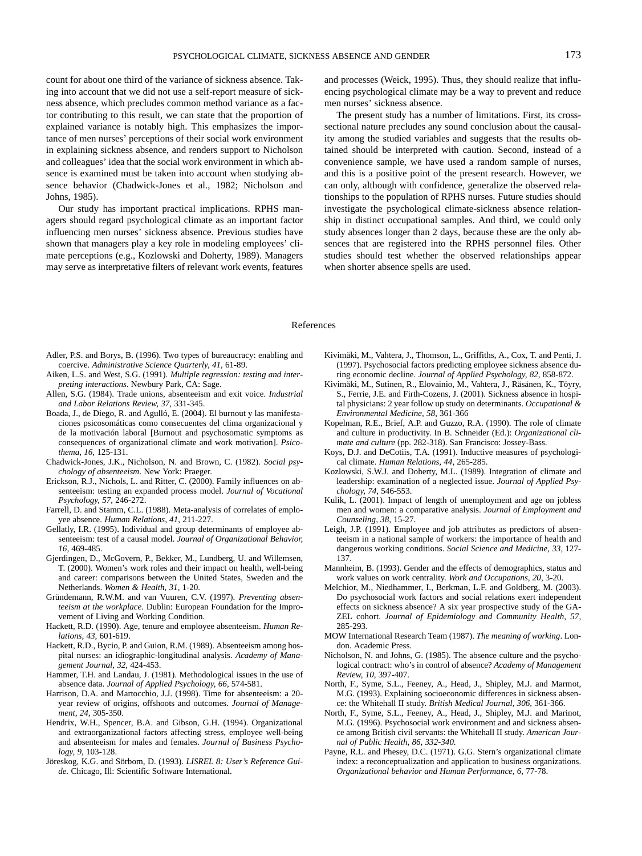count for about one third of the variance of sickness absence. Taking into account that we did not use a self-report measure of sickness absence, which precludes common method variance as a factor contributing to this result, we can state that the proportion of explained variance is notably high. This emphasizes the importance of men nurses' perceptions of their social work environment in explaining sickness absence, and renders support to Nicholson and colleagues' idea that the social work environment in which absence is examined must be taken into account when studying absence behavior (Chadwick-Jones et al., 1982; Nicholson and Johns, 1985).

Our study has important practical implications. RPHS managers should regard psychological climate as an important factor influencing men nurses' sickness absence. Previous studies have shown that managers play a key role in modeling employees' climate perceptions (e.g., Kozlowski and Doherty, 1989). Managers may serve as interpretative filters of relevant work events, features and processes (Weick, 1995). Thus, they should realize that influencing psychological climate may be a way to prevent and reduce men nurses' sickness absence.

The present study has a number of limitations. First, its crosssectional nature precludes any sound conclusion about the causality among the studied variables and suggests that the results obtained should be interpreted with caution. Second, instead of a convenience sample, we have used a random sample of nurses, and this is a positive point of the present research. However, we can only, although with confidence, generalize the observed relationships to the population of RPHS nurses. Future studies should investigate the psychological climate-sickness absence relationship in distinct occupational samples. And third, we could only study absences longer than 2 days, because these are the only absences that are registered into the RPHS personnel files. Other studies should test whether the observed relationships appear when shorter absence spells are used.

## References

- Adler, P.S. and Borys, B. (1996). Two types of bureaucracy: enabling and coercive. *Administrative Science Quarterly, 41,* 61-89.
- Aiken, L.S. and West, S.G. (1991). *Multiple regression: testing and interpreting interactions*. Newbury Park, CA: Sage.
- Allen, S.G. (1984). Trade unions, absenteeism and exit voice. *Industrial and Labor Relations Review, 37,* 331-345.
- Boada, J., de Diego, R. and Agulló, E. (2004). El burnout y las manifestaciones psicosomáticas como consecuentes del clima organizacional y de la motivación laboral [Burnout and psychosomatic symptoms as consequences of organizational climate and work motivation]. *Psicothema, 16,* 125-131.
- Chadwick-Jones, J.K., Nicholson, N. and Brown, C. (1982)*. Social psychology of absenteeism*. New York: Praeger.
- Erickson, R.J., Nichols, L. and Ritter, C. (2000). Family influences on absenteeism: testing an expanded process model. *Journal of Vocational Psychology, 57*, 246-272.
- Farrell, D. and Stamm, C.L. (1988). Meta-analysis of correlates of employee absence. *Human Relations, 41*, 211-227.
- Gellatly, I.R. (1995). Individual and group determinants of employee absenteeism: test of a causal model. *Journal of Organizational Behavior, 16,* 469-485.
- Gjerdingen, D., McGovern, P., Bekker, M., Lundberg, U. and Willemsen, T. (2000). Women's work roles and their impact on health, well-being and career: comparisons between the United States, Sweden and the Netherlands. *Women & Health, 31,* 1-20.
- Gründemann, R.W.M. and van Vuuren, C.V. (1997). *Preventing absenteeism at the workplace*. Dublin: European Foundation for the Improvement of Living and Working Condition.
- Hackett, R.D. (1990). Age, tenure and employee absenteeism. *Human Relations, 43,* 601-619.
- Hackett, R.D., Bycio, P. and Guion, R.M. (1989). Absenteeism among hospital nurses: an idiographic-longitudinal analysis. *Academy of Management Journal, 32,* 424-453.
- Hammer, T.H. and Landau, J. (1981). Methodological issues in the use of absence data. *Journal of Applied Psychology, 66,* 574-581.
- Harrison, D.A. and Martocchio, J.J. (1998). Time for absenteeism: a 20 year review of origins, offshoots and outcomes. *Journal of Management, 24,* 305-350.
- Hendrix, W.H., Spencer, B.A. and Gibson, G.H. (1994). Organizational and extraorganizational factors affecting stress, employee well-being and absenteeism for males and females. *Journal of Business Psychology, 9,* 103-128.
- Jöreskog, K.G. and Sörbom, D. (1993). *LISREL 8: User's Reference Guide.* Chicago, Ill: Scientific Software International.
- Kivimäki, M., Vahtera, J., Thomson, L., Griffiths, A., Cox, T. and Penti, J. (1997). Psychosocial factors predicting employee sickness absence during economic decline. *Journal of Applied Psychology, 82,* 858-872.
- Kivimäki, M., Sutinen, R., Elovainio, M., Vahtera, J., Räsänen, K., Töyry, S., Ferrie, J.E. and Firth-Cozens, J. (2001). Sickness absence in hospital physicians: 2 year follow up study on determinants. *Occupational & Environmental Medicine, 58,* 361-366
- Kopelman, R.E., Brief, A.P. and Guzzo, R.A. (1990). The role of climate and culture in productivity. In B. Schneider (Ed.): *Organizational climate and culture* (pp. 282-318). San Francisco: Jossey-Bass.
- Koys, D.J. and DeCotiis, T.A. (1991). Inductive measures of psychological climate. *Human Relations, 44,* 265-285.
- Kozlowski, S.W.J. and Doherty, M.L. (1989). Integration of climate and leadership: examination of a neglected issue. *Journal of Applied Psychology, 74,* 546-553.
- Kulik, L. (2001). Impact of length of unemployment and age on jobless men and women: a comparative analysis. *Journal of Employment and Counseling, 38*, 15-27.
- Leigh, J.P. (1991). Employee and job attributes as predictors of absenteeism in a national sample of workers: the importance of health and dangerous working conditions. *Social Science and Medicine, 33,* 127- 137.
- Mannheim, B. (1993). Gender and the effects of demographics, status and work values on work centrality. *Work and Occupations, 20*, 3-20.
- Melchior, M., Niedhammer, I., Berkman, L.F. and Goldberg, M. (2003). Do psychosocial work factors and social relations exert independent effects on sickness absence? A six year prospective study of the GA-ZEL cohort. *Journal of Epidemiology and Community Health, 57,* 285-293.
- MOW International Research Team (1987). *The meaning of working*. London. Academic Press.
- Nicholson, N. and Johns, G. (1985). The absence culture and the psychological contract: who's in control of absence? *Academy of Management Review, 10*, 397-407.
- North, F., Syme, S.L., Feeney, A., Head, J., Shipley, M.J. and Marmot, M.G. (1993). Explaining socioeconomic differences in sickness absence: the Whitehall II study. *British Medical Journal, 306,* 361-366.
- North, F., Syme, S.L., Feeney, A., Head, J., Shipley, M.J. and Marinot, M.G. (1996). Psychosocial work environment and and sickness absence among British civil servants: the Whitehall II study. *American Journal of Public Health, 86, 332-340.*
- Payne, R.L. and Phesey, D.C. (1971). G.G. Stern's organizational climate index: a reconceptualization and application to business organizations. *Organizational behavior and Human Performance, 6,* 77-78.